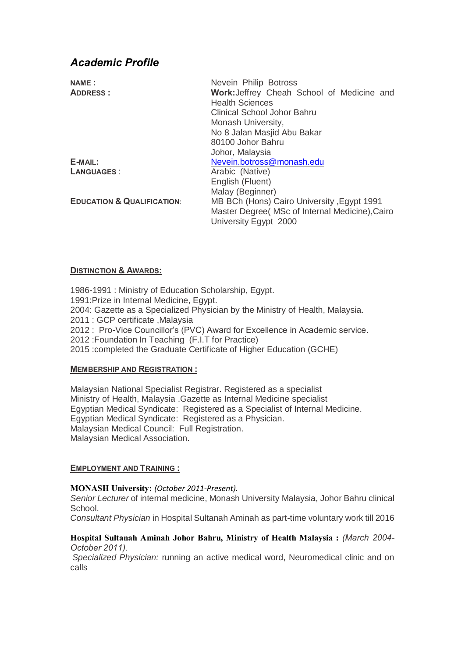# *Academic Profile*

| <b>NAME:</b>                          | Nevein Philip Botross                           |
|---------------------------------------|-------------------------------------------------|
| <b>ADDRESS:</b>                       | Work: Jeffrey Cheah School of Medicine and      |
|                                       | <b>Health Sciences</b>                          |
|                                       | Clinical School Johor Bahru                     |
|                                       | Monash University,                              |
|                                       | No 8 Jalan Masjid Abu Bakar                     |
|                                       | 80100 Johor Bahru                               |
|                                       | Johor, Malaysia                                 |
| E-MAIL:                               | Nevein.botross@monash.edu                       |
| <b>LANGUAGES:</b>                     | Arabic (Native)                                 |
|                                       | English (Fluent)                                |
|                                       | Malay (Beginner)                                |
| <b>EDUCATION &amp; QUALIFICATION:</b> | MB BCh (Hons) Cairo University, Egypt 1991      |
|                                       | Master Degree (MSc of Internal Medicine), Cairo |
|                                       | University Egypt 2000                           |

## **DISTINCTION & AWARDS:**

1986-1991 : Ministry of Education Scholarship, Egypt. 1991:Prize in Internal Medicine, Egypt. 2004: Gazette as a Specialized Physician by the Ministry of Health, Malaysia. 2011 : GCP certificate ,Malaysia 2012 : Pro-Vice Councillor's (PVC) Award for Excellence in Academic service. 2012 :Foundation In Teaching (F.I.T for Practice) 2015 :completed the Graduate Certificate of Higher Education (GCHE)

## **MEMBERSHIP AND REGISTRATION :**

Malaysian National Specialist Registrar. Registered as a specialist Ministry of Health, Malaysia .Gazette as Internal Medicine specialist Egyptian Medical Syndicate: Registered as a Specialist of Internal Medicine. Egyptian Medical Syndicate: Registered as a Physician. Malaysian Medical Council: Full Registration. Malaysian Medical Association.

## **EMPLOYMENT AND TRAINING :**

## **MONASH University:** *(October 2011-Present).*

*Senior Lecturer* of internal medicine, Monash University Malaysia, Johor Bahru clinical School.

*Consultant Physician* in Hospital Sultanah Aminah as part-time voluntary work till 2016

#### **Hospital Sultanah Aminah Johor Bahru, Ministry of Health Malaysia :** *(March 2004- October 2011).*

*Specialized Physician:* running an active medical word, Neuromedical clinic and on calls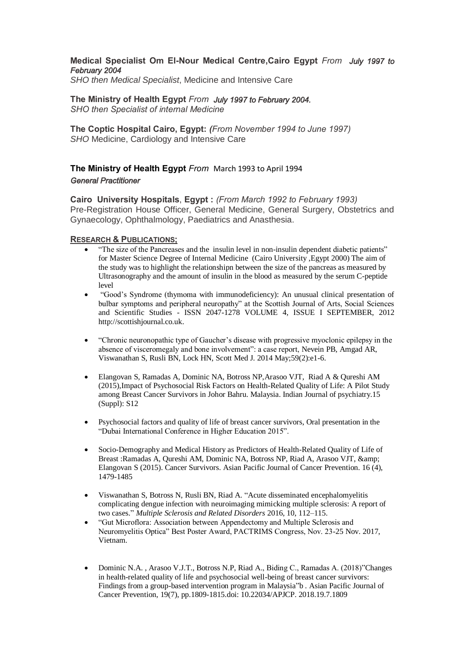#### **Medical Specialist Om El-Nour Medical Centre,Cairo Egypt** *From July 1997 to February 2004*

*SHO then Medical Specialist*, Medicine and Intensive Care

**The Ministry of Health Egypt** *From July 1997 to February 2004. SHO then Specialist of internal Medicine*

**The Coptic Hospital Cairo, Egypt:** *(From November 1994 to June 1997) SHO* Medicine, Cardiology and Intensive Care

## **The Ministry of Health Egypt** *From* March 1993 to April 1994 *General Practitioner*

**Cairo University Hospitals**, **Egypt :** *(From March 1992 to February 1993)* Pre-Registration House Officer, General Medicine, General Surgery, Obstetrics and Gynaecology, Ophthalmology, Paediatrics and Anasthesia.

#### **RESEARCH & PUBLICATIONS;**

- "The size of the Pancreases and the insulin level in non-insulin dependent diabetic patients" for Master Science Degree of Internal Medicine (Cairo University ,Egypt 2000) The aim of the study was to highlight the relationshipn between the size of the pancreas as measured by Ultrasonography and the amount of insulin in the blood as measured by the serum C-peptide level
- "Good's Syndrome (thymoma with immunodeficiency): An unusual clinical presentation of bulbar symptoms and peripheral neuropathy" at the Scottish Journal of Arts, Social Sciences and Scientific Studies - ISSN 2047-1278 VOLUME 4, ISSUE I SEPTEMBER, 2012 [http://scottishjournal.co.uk.](http://scottishjournal.co.uk/)
- "Chronic neuronopathic type of Gaucher's disease with progressive myoclonic epilepsy in the absence of visceromegaly and bone involvement": a case report, Nevein PB, Amgad AR, Viswanathan S, Rusli BN, Lock HN, Scott Med J. 2014 May;59(2):e1-6.
- Elangovan S, Ramadas A, Dominic NA, Botross NP,Arasoo VJT, Riad A & Qureshi AM (2015),Impact of Psychosocial Risk Factors on Health-Related Quality of Life: A Pilot Study among Breast Cancer Survivors in Johor Bahru. Malaysia. Indian Journal of psychiatry.15 (Suppl): S12
- Psychosocial factors and quality of life of breast cancer survivors, Oral presentation in the "Dubai International Conference in Higher Education 2015".
- Socio-Demography and Medical History as Predictors of Health-Related Quality of Life of Breast :Ramadas A, Qureshi AM, Dominic NA, Botross NP, Riad A, Arasoo VJT, & Elangovan S (2015). Cancer Survivors. Asian Pacific Journal of Cancer Prevention. 16 (4), 1479-1485
- Viswanathan S, Botross N, Rusli BN, Riad A. ["Acute disseminated encephalomyelitis](http://www.ncl.ac.uk/numed/staff/profile/amgadbotros.html#238032)  [complicating dengue infection with neuroimaging mimicking multiple sclerosis: A report of](http://www.ncl.ac.uk/numed/staff/profile/amgadbotros.html#238032)  [two cases.](http://www.ncl.ac.uk/numed/staff/profile/amgadbotros.html#238032)" *Multiple Sclerosis and Related Disorders* 2016, 10, 112–115.
- "Gut Microflora: Association between Appendectomy and Multiple Sclerosis and Neuromyelitis Optica" Best Poster Award, PACTRIMS Congress, Nov. 23-25 Nov. 2017, Vietnam.
- Dominic N.A. , Arasoo V.J.T., Botross N.P, Riad A., Biding C., Ramadas A. (2018)"Changes in health-related quality of life and psychosocial well-being of breast cancer survivors: Findings from a group-based intervention program in Malaysia"b . Asian Pacific Journal of Cancer Prevention, 19(7), pp.1809-1815.doi: 10.22034/APJCP. 2018.19.7.1809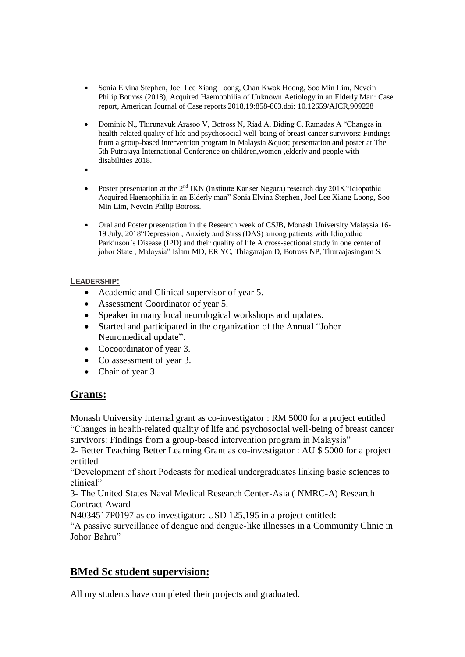- Sonia Elvina Stephen, Joel Lee Xiang Loong, Chan Kwok Hoong, Soo Min Lim, Nevein Philip Botross (2018), Acquired Haemophilia of Unknown Aetiology in an Elderly Man: Case report, American Journal of Case reports 2018,19:858-863.doi: 10.12659/AJCR,909228
- Dominic N., Thirunavuk Arasoo V, Botross N, Riad A, Biding C, Ramadas A "Changes in health-related quality of life and psychosocial well-being of breast cancer survivors: Findings from a group-based intervention program in Malaysia & quot: presentation and poster at The 5th Putrajaya International Conference on children,women ,elderly and people with disabilities 2018.
- $\bullet$
- Poster presentation at the 2nd IKN (Institute Kanser Negara) research day 2018."Idiopathic Acquired Haemophilia in an Elderly man" Sonia Elvina Stephen, Joel Lee Xiang Loong, Soo Min Lim, Nevein Philip Botross.
- Oral and Poster presentation in the Research week of CSJB, Monash University Malaysia 16- 19 July, 2018"Depression , Anxiety and Strss (DAS) among patients with Idiopathic Parkinson's Disease (IPD) and their quality of life A cross-sectional study in one center of johor State , Malaysia" Islam MD, ER YC, Thiagarajan D, Botross NP, Thuraajasingam S.

# **LEADERSHIP:**

- Academic and Clinical supervisor of year 5.
- Assessment Coordinator of year 5.
- Speaker in many local neurological workshops and updates.
- Started and participated in the organization of the Annual "Johor Neuromedical update".
- Cocoordinator of year 3.
- Co assessment of year 3.
- Chair of year 3.

# **Grants:**

Monash University Internal grant as co-investigator : RM 5000 for a project entitled "Changes in health-related quality of life and psychosocial well-being of breast cancer survivors: Findings from a group-based intervention program in Malaysia"

2- Better Teaching Better Learning Grant as co-investigator : AU \$ 5000 for a project entitled

"Development of short Podcasts for medical undergraduates linking basic sciences to clinical"

3- The United States Naval Medical Research Center-Asia ( NMRC-A) Research Contract Award

N4034517P0197 as co-investigator: USD 125,195 in a project entitled:

"A passive surveillance of dengue and dengue-like illnesses in a Community Clinic in Johor Bahru"

# **BMed Sc student supervision:**

All my students have completed their projects and graduated.